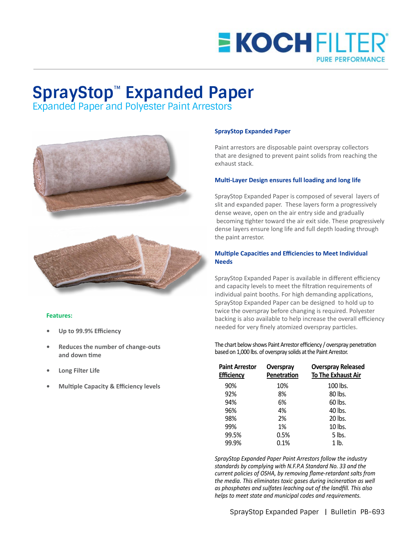## **E KOCH FILTER PURE PERFORMANCE**

# **SprayStop**™ **Expanded Paper**

Expanded Paper and Polyester Paint Arrestors





#### **Features:**

- **• Up to 99.9% Efficiency**
- **• Reduces the number of change-outs and down time**
- **• Long Filter Life**
- **• Multiple Capacity & Efficiency levels**

#### **SprayStop Expanded Paper**

Paint arrestors are disposable paint overspray collectors that are designed to prevent paint solids from reaching the exhaust stack.

#### **Multi-Layer Design ensures full loading and long life**

SprayStop Expanded Paper is composed of several layers of slit and expanded paper. These layers form a progressively dense weave, open on the air entry side and gradually becoming tighter toward the air exit side. These progressively dense layers ensure long life and full depth loading through the paint arrestor.

#### **Multiple Capacities and Efficiencies to Meet Individual Needs**

SprayStop Expanded Paper is available in different efficiency and capacity levels to meet the filtration requirements of individual paint booths. For high demanding applications, SprayStop Expanded Paper can be designed to hold up to twice the overspray before changing is required. Polyester backing is also available to help increase the overall efficiency needed for very finely atomized overspray particles.

#### The chart below shows Paint Arrestor efficiency / overspray penetration based on 1,000 lbs. of overspray solids at the Paint Arrestor.

| Overspray<br>Penetration | <b>Overspray Released</b><br><b>To The Exhaust Air</b> |
|--------------------------|--------------------------------------------------------|
| 10%                      | 100 lbs.                                               |
| 8%                       | 80 lbs.                                                |
| 6%                       | 60 lbs.                                                |
| 4%                       | 40 lbs.                                                |
| 2%                       | 20 lbs.                                                |
| 1%                       | 10 lbs.                                                |
| 0.5%                     | 5 lbs.                                                 |
| 0.1%                     | $1$ lb.                                                |
|                          |                                                        |

*SprayStop Expanded Paper Paint Arrestors follow the industry standards by complying with N.F.P.A Standard No. 33 and the current policies of OSHA, by removing flame-retardant salts from the media. This eliminates toxic gases during incineration as well as phosphates and sulfates leaching out of the landfill. This also helps to meet state and municipal codes and requirements.*